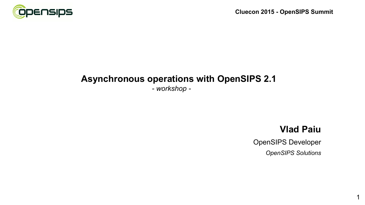

#### **Asynchronous operations with OpenSIPS 2.1**

*- workshop -*

## **Vlad Paiu**

1

OpenSIPS Developer *OpenSIPS Solutions*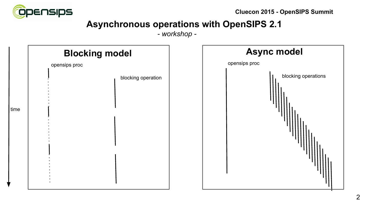

# **Asynchronous operations with OpenSIPS 2.1**

*- workshop -*

| <b>Blocking model</b> |                    | <b>Async model</b>  |  |
|-----------------------|--------------------|---------------------|--|
| opensips proc         |                    | opensips proc       |  |
| time                  | blocking operation | blocking operations |  |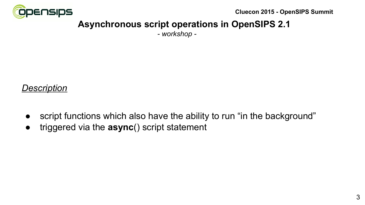

# **Asynchronous script operations in OpenSIPS 2.1**

*- workshop -*

#### *Description*

- script functions which also have the ability to run "in the background"
- triggered via the **async**() script statement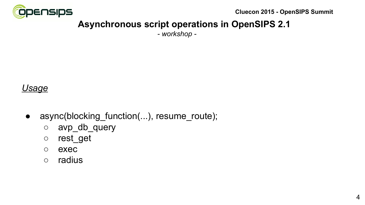

# **Asynchronous script operations in OpenSIPS 2.1**

*- workshop -*

## *Usage*

- async(blocking\_function(...), resume\_route);
	- avp\_db\_query
	- rest\_get
	- exec
	- radius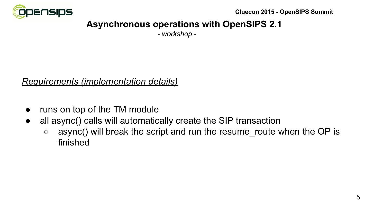

# **Asynchronous operations with OpenSIPS 2.1**

*- workshop -*

## *Requirements (implementation details)*

- runs on top of the TM module
- all async() calls will automatically create the SIP transaction
	- $\circ$  async() will break the script and run the resume route when the OP is finished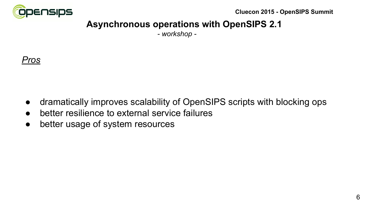

# **Asynchronous operations with OpenSIPS 2.1**

*- workshop -*



- dramatically improves scalability of OpenSIPS scripts with blocking ops
- better resilience to external service failures
- better usage of system resources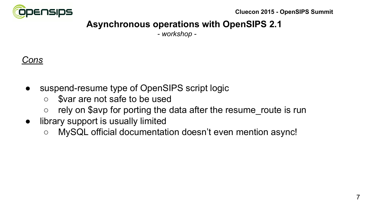

# **Asynchronous operations with OpenSIPS 2.1**

*- workshop -*

# *Cons*

- suspend-resume type of OpenSIPS script logic
	- \$var are not safe to be used
	- $\circ$  rely on \$avp for porting the data after the resume route is run
- library support is usually limited
	- MySQL official documentation doesn't even mention async!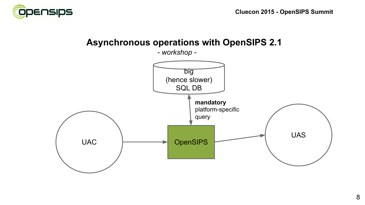

 **Asynchronous operations with OpenSIPS 2.1**

*- workshop -*